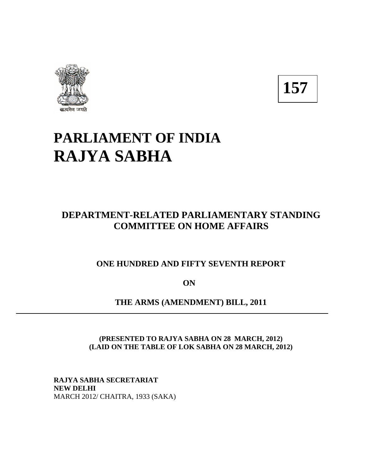

**157** 

# **PARLIAMENT OF INDIA RAJYA SABHA**

# **DEPARTMENT-RELATED PARLIAMENTARY STANDING COMMITTEE ON HOME AFFAIRS**

### **ONE HUNDRED AND FIFTY SEVENTH REPORT**

**ON** 

**THE ARMS (AMENDMENT) BILL, 2011** 

**(PRESENTED TO RAJYA SABHA ON 28 MARCH, 2012) (LAID ON THE TABLE OF LOK SABHA ON 28 MARCH, 2012)** 

**RAJYA SABHA SECRETARIAT NEW DELHI**  MARCH 2012/ CHAITRA, 1933 (SAKA)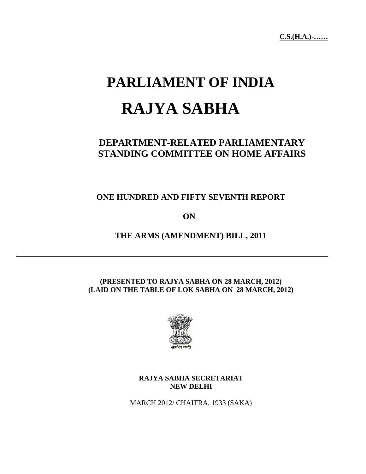# **PARLIAMENT OF INDIA RAJYA SABHA**

# **DEPARTMENT-RELATED PARLIAMENTARY STANDING COMMITTEE ON HOME AFFAIRS**

**ONE HUNDRED AND FIFTY SEVENTH REPORT** 

**ON** 

**THE ARMS (AMENDMENT) BILL, 2011** 

#### **(PRESENTED TO RAJYA SABHA ON 28 MARCH, 2012) (LAID ON THE TABLE OF LOK SABHA ON 28 MARCH, 2012)**



#### **RAJYA SABHA SECRETARIAT NEW DELHI**

MARCH 2012/ CHAITRA, 1933 (SAKA)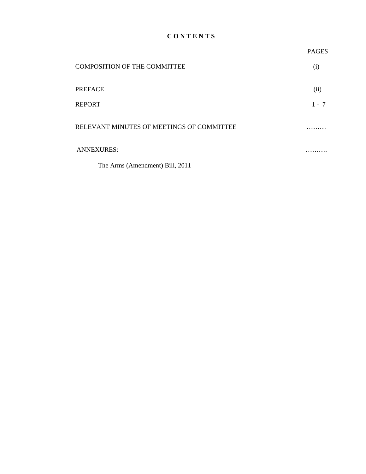#### **C O N T E N T S**

|                                           | <b>PAGES</b> |
|-------------------------------------------|--------------|
| <b>COMPOSITION OF THE COMMITTEE</b>       | (i)          |
| <b>PREFACE</b>                            | (ii)         |
| <b>REPORT</b>                             | $1 - 7$      |
| RELEVANT MINUTES OF MEETINGS OF COMMITTEE |              |
| <b>ANNEXURES:</b>                         | .            |
| The Arms (Amendment) Bill, 2011           |              |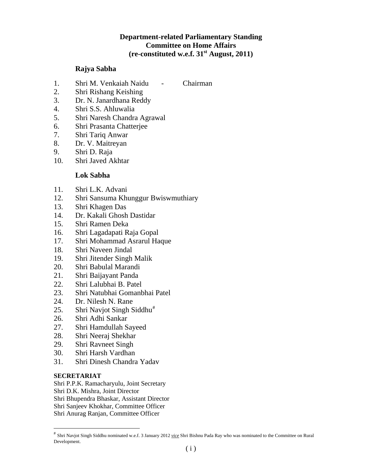#### **Department-related Parliamentary Standing Committee on Home Affairs (re-constituted w.e.f. 31st August, 2011)**

#### **Rajya Sabha**

- 1. Shri M. Venkaiah Naidu Chairman
- 2. Shri Rishang Keishing
- 3. Dr. N. Janardhana Reddy
- 4. Shri S.S. Ahluwalia
- 5. Shri Naresh Chandra Agrawal
- 6. Shri Prasanta Chatterjee
- 7. Shri Tariq Anwar
- 8. Dr. V. Maitreyan
- 9. Shri D. Raja
- 10. Shri Javed Akhtar

#### **Lok Sabha**

- 11. Shri L.K. Advani
- 12. Shri Sansuma Khunggur Bwiswmuthiary
- 13. Shri Khagen Das
- 14. Dr. Kakali Ghosh Dastidar
- 15. Shri Ramen Deka
- 16. Shri Lagadapati Raja Gopal
- 17. Shri Mohammad Asrarul Haque
- 18. Shri Naveen Jindal
- 19. Shri Jitender Singh Malik
- 20. Shri Babulal Marandi
- 21. Shri Baijayant Panda
- 22. Shri Lalubhai B. Patel
- 23. Shri Natubhai Gomanbhai Patel
- 24. Dr. Nilesh N. Rane
- 25. Shri Navjot Singh Siddhu<sup>[#](#page-3-0)</sup>
- 26. Shri Adhi Sankar
- 27. Shri Hamdullah Sayeed
- 28. Shri Neeraj Shekhar
- 29. Shri Ravneet Singh
- 30. Shri Harsh Vardhan
- 31. Shri Dinesh Chandra Yadav

#### **SECRETARIAT**

1

Shri P.P.K. Ramacharyulu, Joint Secretary Shri D.K. Mishra, Joint Director Shri Bhupendra Bhaskar, Assistant Director Shri Sanjeev Khokhar, Committee Officer Shri Anurag Ranjan, Committee Officer

<span id="page-3-0"></span><sup>#</sup> Shri Navjot Singh Siddhu nominated w.e.f. 3 January 2012 *vice* Shri Bishnu Pada Ray who was nominated to the Committee on Rural Development.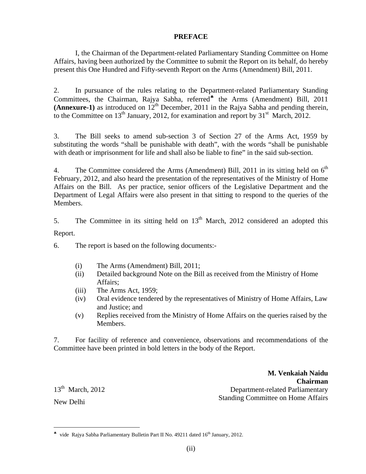#### **PREFACE**

 I, the Chairman of the Department-related Parliamentary Standing Committee on Home Affairs, having been authorized by the Committee to submit the Report on its behalf, do hereby present this One Hundred and Fifty-seventh Report on the Arms (Amendment) Bill, 2011.

2. In pursuance of the rules relating to the Department-related Parliamentary Standing Committees, the Chairman, Rajya Sabha, referred<sup>\*</sup> the Arms (Amendment) Bill, 2011 **(Annexure-1)** as introduced on  $12<sup>th</sup>$  December, 2011 in the Rajya Sabha and pending therein, to the Committee on  $13<sup>th</sup>$  January, 2012, for examination and report by  $31<sup>st</sup>$  March, 2012.

3. The Bill seeks to amend sub-section 3 of Section 27 of the Arms Act, 1959 by substituting the words "shall be punishable with death", with the words "shall be punishable with death or imprisonment for life and shall also be liable to fine" in the said sub-section.

4. The Committee considered the Arms (Amendment) Bill, 2011 in its sitting held on  $6<sup>th</sup>$ February, 2012, and also heard the presentation of the representatives of the Ministry of Home Affairs on the Bill. As per practice, senior officers of the Legislative Department and the Department of Legal Affairs were also present in that sitting to respond to the queries of the Members.

5. The Committee in its sitting held on  $13<sup>th</sup>$  March, 2012 considered an adopted this Report.

6. The report is based on the following documents:-

- (i) The Arms (Amendment) Bill, 2011;
- (ii) Detailed background Note on the Bill as received from the Ministry of Home Affairs;
- (iii) The Arms Act, 1959;
- (iv) Oral evidence tendered by the representatives of Ministry of Home Affairs, Law and Justice; and
- (v) Replies received from the Ministry of Home Affairs on the queries raised by the Members.

7. For facility of reference and convenience, observations and recommendations of the Committee have been printed in bold letters in the body of the Report.

 $13<sup>th</sup>$  March, 2012 New Delhi

 $\overline{a}$ 

**M. Venkaiah Naidu Chairman** Department-related Parliamentary Standing Committee on Home Affairs

<span id="page-4-0"></span><sup>♣</sup> vide Rajya Sabha Parliamentary Bulletin Part II No. 49211 dated 16th January, 2012.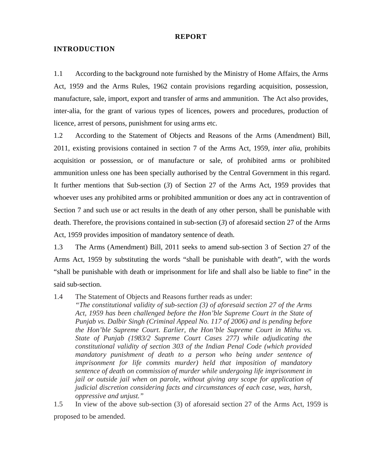#### **REPORT**

#### **INTRODUCTION**

1.1 According to the background note furnished by the Ministry of Home Affairs, the Arms Act, 1959 and the Arms Rules, 1962 contain provisions regarding acquisition, possession, manufacture, sale, import, export and transfer of arms and ammunition. The Act also provides, inter-alia, for the grant of various types of licences, powers and procedures, production of licence, arrest of persons, punishment for using arms etc.

1.2 According to the Statement of Objects and Reasons of the Arms (Amendment) Bill, 2011, existing provisions contained in section 7 of the Arms Act, 1959, *inter alia*, prohibits acquisition or possession, or of manufacture or sale, of prohibited arms or prohibited ammunition unless one has been specially authorised by the Central Government in this regard. It further mentions that Sub-section (*3*) of Section 27 of the Arms Act, 1959 provides that whoever uses any prohibited arms or prohibited ammunition or does any act in contravention of Section 7 and such use or act results in the death of any other person, shall be punishable with death. Therefore, the provisions contained in sub-section (*3*) of aforesaid section 27 of the Arms Act, 1959 provides imposition of mandatory sentence of death.

1.3 The Arms (Amendment) Bill, 2011 seeks to amend sub-section 3 of Section 27 of the Arms Act, 1959 by substituting the words "shall be punishable with death", with the words "shall be punishable with death or imprisonment for life and shall also be liable to fine" in the said sub-section.

1.4 The Statement of Objects and Reasons further reads as under:

*"The constitutional validity of sub-section (3) of aforesaid section 27 of the Arms Act, 1959 has been challenged before the Hon'ble Supreme Court in the State of Punjab vs. Dalbir Singh (Criminal Appeal No. 117 of 2006) and is pending before the Hon'ble Supreme Court. Earlier, the Hon'ble Supreme Court in Mithu vs. State of Punjab (1983/2 Supreme Court Cases 277) while adjudicating the constitutional validity of section 303 of the Indian Penal Code (which provided mandatory punishment of death to a person who being under sentence of imprisonment for life commits murder) held that imposition of mandatory sentence of death on commission of murder while undergoing life imprisonment in jail or outside jail when on parole, without giving any scope for application of judicial discretion considering facts and circumstances of each case, was, harsh, oppressive and unjust."* 

1.5 In view of the above sub-section (3) of aforesaid section 27 of the Arms Act, 1959 is proposed to be amended.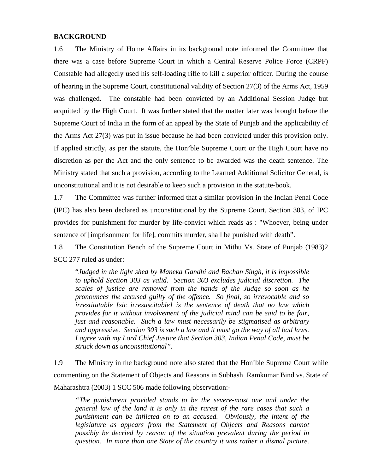#### **BACKGROUND**

1.6 The Ministry of Home Affairs in its background note informed the Committee that there was a case before Supreme Court in which a Central Reserve Police Force (CRPF) Constable had allegedly used his self-loading rifle to kill a superior officer. During the course of hearing in the Supreme Court, constitutional validity of Section 27(3) of the Arms Act, 1959 was challenged. The constable had been convicted by an Additional Session Judge but acquitted by the High Court. It was further stated that the matter later was brought before the Supreme Court of India in the form of an appeal by the State of Punjab and the applicability of the Arms Act 27(3) was put in issue because he had been convicted under this provision only. If applied strictly, as per the statute, the Hon'ble Supreme Court or the High Court have no discretion as per the Act and the only sentence to be awarded was the death sentence. The Ministry stated that such a provision, according to the Learned Additional Solicitor General, is unconstitutional and it is not desirable to keep such a provision in the statute-book.

1.7 The Committee was further informed that a similar provision in the Indian Penal Code (IPC) has also been declared as unconstitutional by the Supreme Court. Section 303, of IPC provides for punishment for murder by life-convict which reads as : "Whoever, being under sentence of [imprisonment for life], commits murder, shall be punished with death".

1.8 The Constitution Bench of the Supreme Court in Mithu Vs. State of Punjab (1983)2 SCC 277 ruled as under:

"*Judged in the light shed by Maneka Gandhi and Bachan Singh, it is impossible to uphold Section 303 as valid. Section 303 excludes judicial discretion. The scales of justice are removed from the hands of the Judge so soon as he pronounces the accused guilty of the offence. So final, so irrevocable and so irrestitutable [sic irresuscitable] is the sentence of death that no law which provides for it without involvement of the judicial mind can be said to be fair, just and reasonable. Such a law must necessarily be stigmatised as arbitrary and oppressive. Section 303 is such a law and it must go the way of all bad laws. I agree with my Lord Chief Justice that Section 303, Indian Penal Code, must be struck down as unconstitutional".*

1.9 The Ministry in the background note also stated that the Hon'ble Supreme Court while commenting on the Statement of Objects and Reasons in Subhash Ramkumar Bind vs. State of Maharashtra (2003) 1 SCC 506 made following observation:-

*"The punishment provided stands to be the severe-most one and under the general law of the land it is only in the rarest of the rare cases that such a punishment can be inflicted on to an accused. Obviously, the intent of the legislature as appears from the Statement of Objects and Reasons cannot possibly be decried by reason of the situation prevalent during the period in question. In more than one State of the country it was rather a dismal picture.*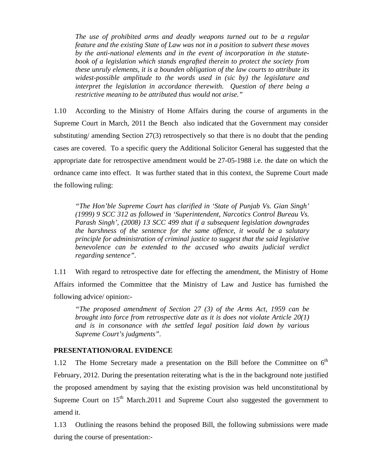*The use of prohibited arms and deadly weapons turned out to be a regular feature and the existing State of Law was not in a position to subvert these moves by the anti-national elements and in the event of incorporation in the statutebook of a legislation which stands engrafted therein to protect the society from these unruly elements, it is a bounden obligation of the law courts to attribute its widest-possible amplitude to the words used in (sic by) the legislature and interpret the legislation in accordance therewith. Question of there being a restrictive meaning to be attributed thus would not arise."* 

1.10 According to the Ministry of Home Affairs during the course of arguments in the Supreme Court in March, 2011 the Bench also indicated that the Government may consider substituting/ amending Section 27(3) retrospectively so that there is no doubt that the pending cases are covered. To a specific query the Additional Solicitor General has suggested that the appropriate date for retrospective amendment would be 27-05-1988 i.e. the date on which the ordnance came into effect. It was further stated that in this context, the Supreme Court made the following ruling:

*"The Hon'ble Supreme Court has clarified in 'State of Punjab Vs. Gian Singh' (1999) 9 SCC 312 as followed in 'Superintendent, Narcotics Control Bureau Vs. Parash Singh', (2008) 13 SCC 499 that if a subsequent legislation downgrades the harshness of the sentence for the same offence, it would be a salutary principle for administration of criminal justice to suggest that the said legislative benevolence can be extended to the accused who awaits judicial verdict regarding sentence".* 

1.11 With regard to retrospective date for effecting the amendment, the Ministry of Home Affairs informed the Committee that the Ministry of Law and Justice has furnished the following advice/ opinion:-

*"The proposed amendment of Section 27 (3) of the Arms Act, 1959 can be brought into force from retrospective date as it is does not violate Article 20(1) and is in consonance with the settled legal position laid down by various Supreme Court's judgments".*

#### **PRESENTATION/ORAL EVIDENCE**

1.12 The Home Secretary made a presentation on the Bill before the Committee on  $6<sup>th</sup>$ February, 2012. During the presentation reiterating what is the in the background note justified the proposed amendment by saying that the existing provision was held unconstitutional by Supreme Court on  $15<sup>th</sup>$  March.2011 and Supreme Court also suggested the government to amend it.

1.13 Outlining the reasons behind the proposed Bill, the following submissions were made during the course of presentation:-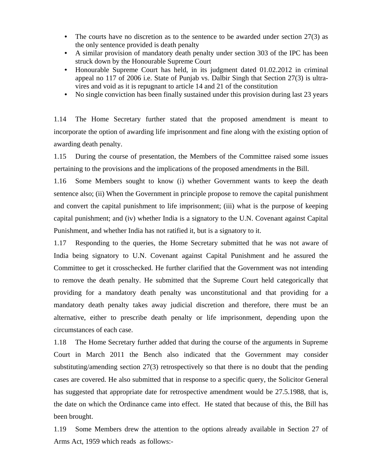- The courts have no discretion as to the sentence to be awarded under section  $27(3)$  as the only sentence provided is death penalty
- A similar provision of mandatory death penalty under section 303 of the IPC has been struck down by the Honourable Supreme Court
- Honourable Supreme Court has held, in its judgment dated 01.02.2012 in criminal appeal no 117 of 2006 i.e. State of Punjab vs. Dalbir Singh that Section 27(3) is ultravires and void as it is repugnant to article 14 and 21 of the constitution
- No single conviction has been finally sustained under this provision during last 23 years

1.14 The Home Secretary further stated that the proposed amendment is meant to incorporate the option of awarding life imprisonment and fine along with the existing option of awarding death penalty.

1.15 During the course of presentation, the Members of the Committee raised some issues pertaining to the provisions and the implications of the proposed amendments in the Bill.

1.16 Some Members sought to know (i) whether Government wants to keep the death sentence also; (ii) When the Government in principle propose to remove the capital punishment and convert the capital punishment to life imprisonment; (iii) what is the purpose of keeping capital punishment; and (iv) whether India is a signatory to the U.N. Covenant against Capital Punishment, and whether India has not ratified it, but is a signatory to it.

1.17 Responding to the queries, the Home Secretary submitted that he was not aware of India being signatory to U.N. Covenant against Capital Punishment and he assured the Committee to get it crosschecked. He further clarified that the Government was not intending to remove the death penalty. He submitted that the Supreme Court held categorically that providing for a mandatory death penalty was unconstitutional and that providing for a mandatory death penalty takes away judicial discretion and therefore, there must be an alternative, either to prescribe death penalty or life imprisonment, depending upon the circumstances of each case.

1.18 The Home Secretary further added that during the course of the arguments in Supreme Court in March 2011 the Bench also indicated that the Government may consider substituting/amending section 27(3) retrospectively so that there is no doubt that the pending cases are covered. He also submitted that in response to a specific query, the Solicitor General has suggested that appropriate date for retrospective amendment would be 27.5.1988, that is, the date on which the Ordinance came into effect. He stated that because of this, the Bill has been brought.

1.19 Some Members drew the attention to the options already available in Section 27 of Arms Act, 1959 which reads as follows:-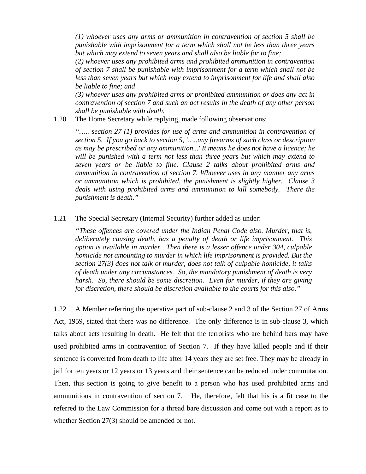*(1) whoever uses any arms or ammunition in contravention of section 5 shall be punishable with imprisonment for a term which shall not be less than three years but which may extend to seven years and shall also be liable for to fine;* 

*(2) whoever uses any prohibited arms and prohibited ammunition in contravention of section 7 shall be punishable with imprisonment for a term which shall not be less than seven years but which may extend to imprisonment for life and shall also be liable to fine; and* 

*(3) whoever uses any prohibited arms or prohibited ammunition or does any act in contravention of section 7 and such an act results in the death of any other person shall be punishable with death.* 

1.20 The Home Secretary while replying, made following observations:

*"….. section 27 (1) provides for use of arms and ammunition in contravention of section 5. If you go back to section 5, '…..any firearms of such class or description as may be prescribed or any ammunition...' It means he does not have a licence; he will be punished with a term not less than three years but which may extend to seven years or be liable to fine. Clause 2 talks about prohibited arms and ammunition in contravention of section 7. Whoever uses in any manner any arms or ammunition which is prohibited, the punishment is slightly higher. Clause 3 deals with using prohibited arms and ammunition to kill somebody. There the punishment is death."* 

#### 1.21 The Special Secretary (Internal Security) further added as under:

*"These offences are covered under the Indian Penal Code also. Murder, that is, deliberately causing death, has a penalty of death or life imprisonment. This option is available in murder. Then there is a lesser offence under 304, culpable homicide not amounting to murder in which life imprisonment is provided. But the section 27(3) does not talk of murder, does not talk of culpable homicide, it talks of death under any circumstances. So, the mandatory punishment of death is very harsh.* So, there should be some discretion. Even for murder, if they are giving *for discretion, there should be discretion available to the courts for this also."* 

1.22 A Member referring the operative part of sub-clause 2 and 3 of the Section 27 of Arms Act, 1959, stated that there was no difference. The only difference is in sub-clause 3, which talks about acts resulting in death. He felt that the terrorists who are behind bars may have used prohibited arms in contravention of Section 7. If they have killed people and if their sentence is converted from death to life after 14 years they are set free. They may be already in jail for ten years or 12 years or 13 years and their sentence can be reduced under commutation. Then, this section is going to give benefit to a person who has used prohibited arms and ammunitions in contravention of section 7. He, therefore, felt that his is a fit case to tbe referred to the Law Commission for a thread bare discussion and come out with a report as to whether Section 27(3) should be amended or not.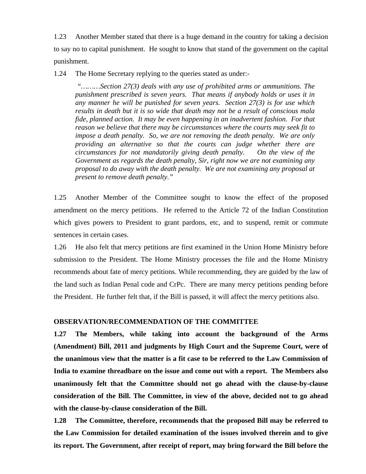1.23 Another Member stated that there is a huge demand in the country for taking a decision to say no to capital punishment. He sought to know that stand of the government on the capital punishment.

1.24 The Home Secretary replying to the queries stated as under:-

 *"………Section 27(3) deals with any use of prohibited arms or ammunitions. The punishment prescribed is seven years. That means if anybody holds or uses it in any manner he will be punished for seven years. Section 27(3) is for use which results in death but it is so wide that death may not be a result of conscious mala fide, planned action. It may be even happening in an inadvertent fashion. For that reason we believe that there may be circumstances where the courts may seek fit to impose a death penalty. So, we are not removing the death penalty. We are only providing an alternative so that the courts can judge whether there are circumstances for not mandatorily giving death penalty. On the view of the Government as regards the death penalty, Sir, right now we are not examining any proposal to do away with the death penalty. We are not examining any proposal at present to remove death penalty."* 

1.25 Another Member of the Committee sought to know the effect of the proposed amendment on the mercy petitions. He referred to the Article 72 of the Indian Constitution which gives powers to President to grant pardons, etc, and to suspend, remit or commute sentences in certain cases.

1.26 He also felt that mercy petitions are first examined in the Union Home Ministry before submission to the President. The Home Ministry processes the file and the Home Ministry recommends about fate of mercy petitions. While recommending, they are guided by the law of the land such as Indian Penal code and CrPc. There are many mercy petitions pending before the President. He further felt that, if the Bill is passed, it will affect the mercy petitions also.

#### **OBSERVATION/RECOMMENDATION OF THE COMMITTEE**

**1.27 The Members, while taking into account the background of the Arms (Amendment) Bill, 2011 and judgments by High Court and the Supreme Court, were of the unanimous view that the matter is a fit case to be referred to the Law Commission of India to examine threadbare on the issue and come out with a report. The Members also unanimously felt that the Committee should not go ahead with the clause-by-clause consideration of the Bill. The Committee, in view of the above, decided not to go ahead with the clause-by-clause consideration of the Bill.** 

**1.28 The Committee, therefore, recommends that the proposed Bill may be referred to the Law Commission for detailed examination of the issues involved therein and to give its report. The Government, after receipt of report, may bring forward the Bill before the**